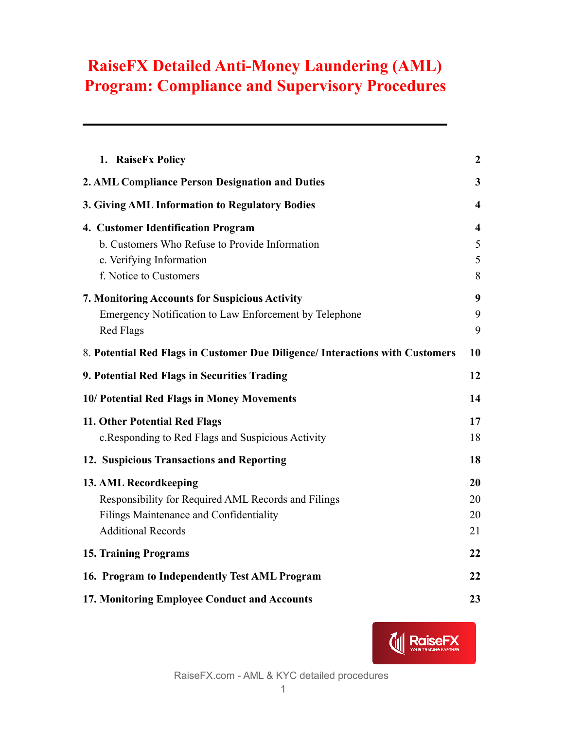| 1. RaiseFx Policy                                                             | $\boldsymbol{2}$        |
|-------------------------------------------------------------------------------|-------------------------|
| 2. AML Compliance Person Designation and Duties                               | 3                       |
| 3. Giving AML Information to Regulatory Bodies                                | $\overline{\mathbf{4}}$ |
| 4. Customer Identification Program                                            | 4                       |
| b. Customers Who Refuse to Provide Information                                | 5                       |
| c. Verifying Information                                                      | 5                       |
| f. Notice to Customers                                                        | 8                       |
| 7. Monitoring Accounts for Suspicious Activity                                | 9                       |
| Emergency Notification to Law Enforcement by Telephone                        | 9                       |
| <b>Red Flags</b>                                                              | 9                       |
| 8. Potential Red Flags in Customer Due Diligence/ Interactions with Customers | 10                      |
| 9. Potential Red Flags in Securities Trading                                  | 12                      |
| 10/ Potential Red Flags in Money Movements                                    | 14                      |
| 11. Other Potential Red Flags                                                 | 17                      |
| c. Responding to Red Flags and Suspicious Activity                            | 18                      |
| 12. Suspicious Transactions and Reporting                                     | 18                      |
| 13. AML Recordkeeping                                                         | 20                      |
| Responsibility for Required AML Records and Filings                           | 20                      |
| Filings Maintenance and Confidentiality                                       | 20                      |
| <b>Additional Records</b>                                                     | 21                      |
| <b>15. Training Programs</b>                                                  | 22                      |
| 16. Program to Independently Test AML Program                                 | 22                      |
| 17. Monitoring Employee Conduct and Accounts                                  | 23                      |

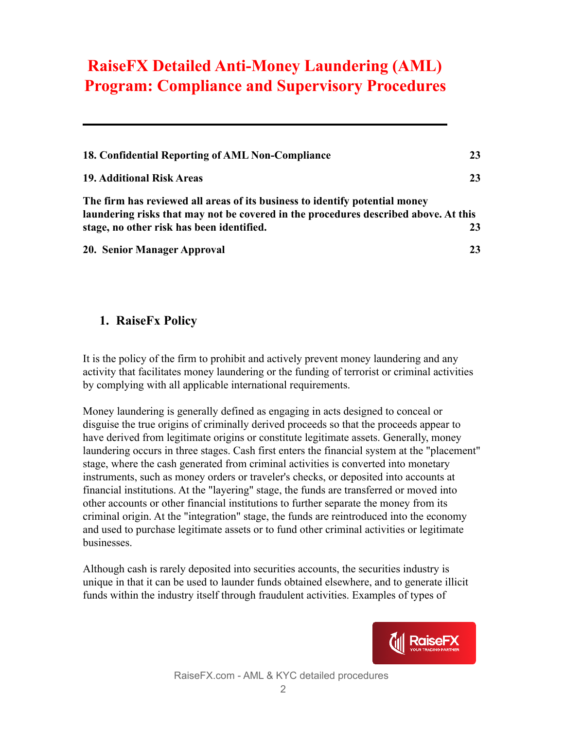| 18. Confidential Reporting of AML Non-Compliance                                                                                                                   | 23 |
|--------------------------------------------------------------------------------------------------------------------------------------------------------------------|----|
| <b>19. Additional Risk Areas</b>                                                                                                                                   | 23 |
| The firm has reviewed all areas of its business to identify potential money<br>laundering risks that may not be covered in the procedures described above. At this |    |
| stage, no other risk has been identified.                                                                                                                          | 23 |
| 20. Senior Manager Approval                                                                                                                                        | 23 |

#### <span id="page-1-0"></span>**1. RaiseFx Policy**

It is the policy of the firm to prohibit and actively prevent money laundering and any activity that facilitates money laundering or the funding of terrorist or criminal activities by complying with all applicable international requirements.

Money laundering is generally defined as engaging in acts designed to conceal or disguise the true origins of criminally derived proceeds so that the proceeds appear to have derived from legitimate origins or constitute legitimate assets. Generally, money laundering occurs in three stages. Cash first enters the financial system at the "placement" stage, where the cash generated from criminal activities is converted into monetary instruments, such as money orders or traveler's checks, or deposited into accounts at financial institutions. At the "layering" stage, the funds are transferred or moved into other accounts or other financial institutions to further separate the money from its criminal origin. At the "integration" stage, the funds are reintroduced into the economy and used to purchase legitimate assets or to fund other criminal activities or legitimate businesses.

Although cash is rarely deposited into securities accounts, the securities industry is unique in that it can be used to launder funds obtained elsewhere, and to generate illicit funds within the industry itself through fraudulent activities. Examples of types of

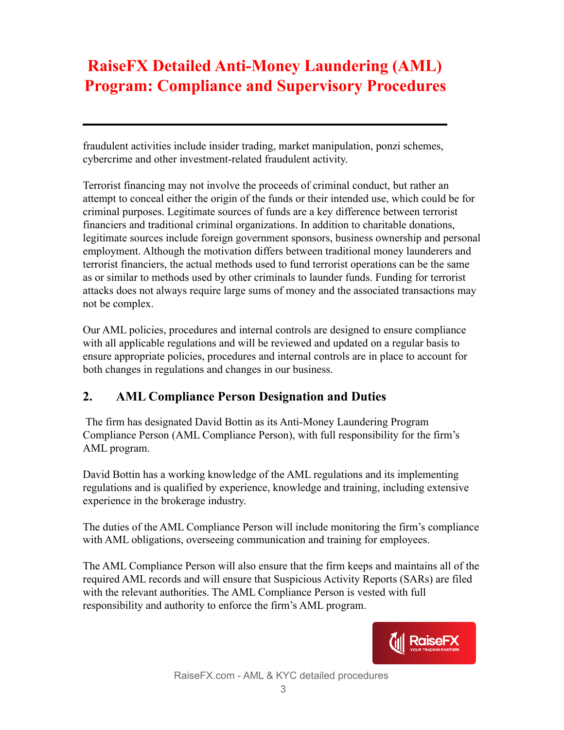fraudulent activities include insider trading, market manipulation, ponzi schemes, cybercrime and other investment-related fraudulent activity.

Terrorist financing may not involve the proceeds of criminal conduct, but rather an attempt to conceal either the origin of the funds or their intended use, which could be for criminal purposes. Legitimate sources of funds are a key difference between terrorist financiers and traditional criminal organizations. In addition to charitable donations, legitimate sources include foreign government sponsors, business ownership and personal employment. Although the motivation differs between traditional money launderers and terrorist financiers, the actual methods used to fund terrorist operations can be the same as or similar to methods used by other criminals to launder funds. Funding for terrorist attacks does not always require large sums of money and the associated transactions may not be complex.

Our AML policies, procedures and internal controls are designed to ensure compliance with all applicable regulations and will be reviewed and updated on a regular basis to ensure appropriate policies, procedures and internal controls are in place to account for both changes in regulations and changes in our business.

### <span id="page-2-0"></span>**2. AML Compliance Person Designation and Duties**

The firm has designated David Bottin as its Anti-Money Laundering Program Compliance Person (AML Compliance Person), with full responsibility for the firm's AML program.

David Bottin has a working knowledge of the AML regulations and its implementing regulations and is qualified by experience, knowledge and training, including extensive experience in the brokerage industry.

The duties of the AML Compliance Person will include monitoring the firm's compliance with AML obligations, overseeing communication and training for employees.

The AML Compliance Person will also ensure that the firm keeps and maintains all of the required AML records and will ensure that Suspicious Activity Reports (SARs) are filed with the relevant authorities. The AML Compliance Person is vested with full responsibility and authority to enforce the firm's AML program.

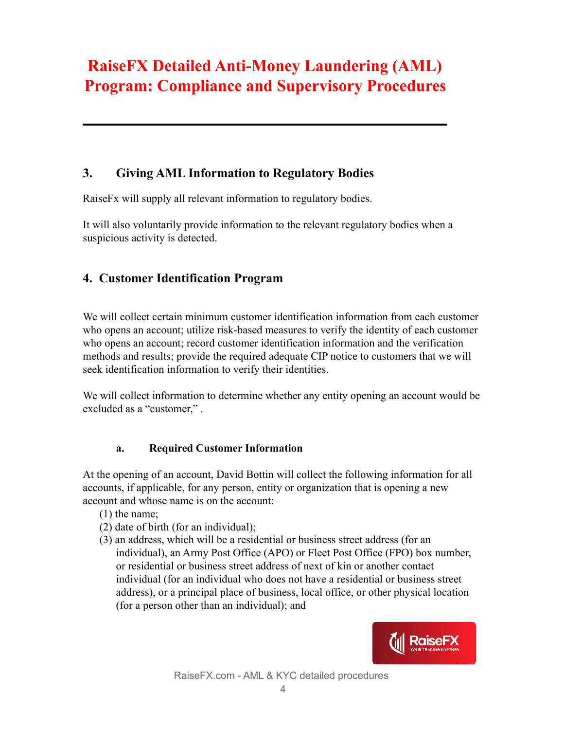### <span id="page-3-0"></span>**3. Giving AML Information to Regulatory Bodies**

RaiseFx will supply all relevant information to regulatory bodies.

It will also voluntarily provide information to the relevant regulatory bodies when a suspicious activity is detected.

#### <span id="page-3-1"></span>**4. Customer Identification Program**

We will collect certain minimum customer identification information from each customer who opens an account; utilize risk-based measures to verify the identity of each customer who opens an account; record customer identification information and the verification methods and results; provide the required adequate CIP notice to customers that we will seek identification information to verify their identities.

We will collect information to determine whether any entity opening an account would be excluded as a "customer," .

#### **a. Required Customer Information**

At the opening of an account, David Bottin will collect the following information for all accounts, if applicable, for any person, entity or organization that is opening a new account and whose name is on the account:

- (1) the name;
- (2) date of birth (for an individual);
- (3) an address, which will be a residential or business street address (for an individual), an Army Post Office (APO) or Fleet Post Office (FPO) box number, or residential or business street address of next of kin or another contact individual (for an individual who does not have a residential or business street address), or a principal place of business, local office, or other physical location (for a person other than an individual); and

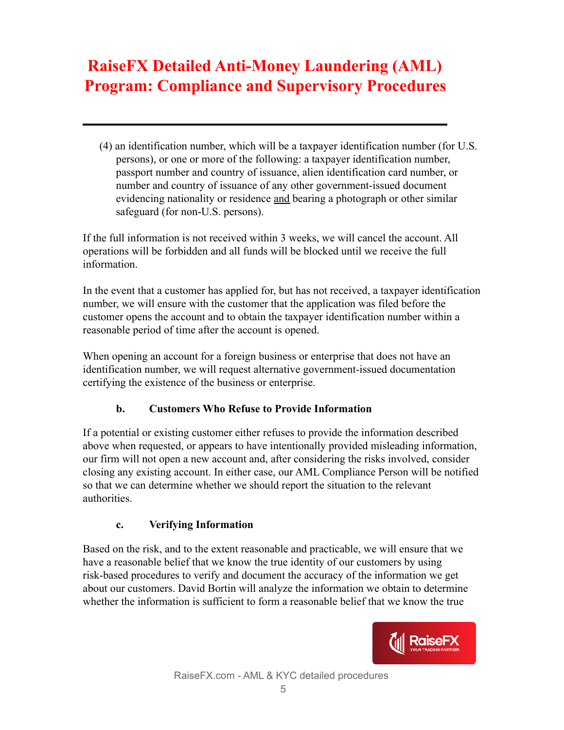(4) an identification number, which will be a taxpayer identification number (for U.S. persons), or one or more of the following: a taxpayer identification number, passport number and country of issuance, alien identification card number, or number and country of issuance of any other government-issued document evidencing nationality or residence and bearing a photograph or other similar safeguard (for non-U.S. persons).

If the full information is not received within 3 weeks, we will cancel the account. All operations will be forbidden and all funds will be blocked until we receive the full information.

In the event that a customer has applied for, but has not received, a taxpayer identification number, we will ensure with the customer that the application was filed before the customer opens the account and to obtain the taxpayer identification number within a reasonable period of time after the account is opened.

When opening an account for a foreign business or enterprise that does not have an identification number, we will request alternative government-issued documentation certifying the existence of the business or enterprise.

#### **b. Customers Who Refuse to Provide Information**

<span id="page-4-0"></span>If a potential or existing customer either refuses to provide the information described above when requested, or appears to have intentionally provided misleading information, our firm will not open a new account and, after considering the risks involved, consider closing any existing account. In either case, our AML Compliance Person will be notified so that we can determine whether we should report the situation to the relevant authorities.

#### **c. Verifying Information**

<span id="page-4-1"></span>Based on the risk, and to the extent reasonable and practicable, we will ensure that we have a reasonable belief that we know the true identity of our customers by using risk-based procedures to verify and document the accuracy of the information we get about our customers. David Bortin will analyze the information we obtain to determine whether the information is sufficient to form a reasonable belief that we know the true

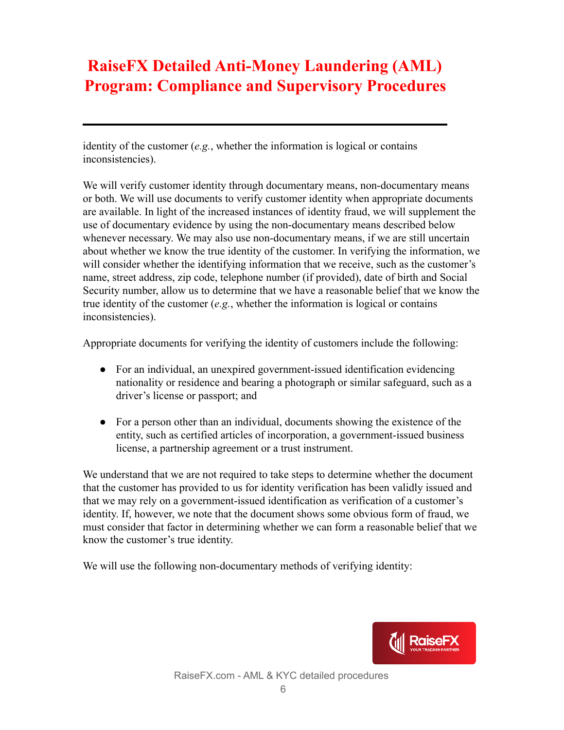identity of the customer (*e.g.*, whether the information is logical or contains inconsistencies).

We will verify customer identity through documentary means, non-documentary means or both. We will use documents to verify customer identity when appropriate documents are available. In light of the increased instances of identity fraud, we will supplement the use of documentary evidence by using the non-documentary means described below whenever necessary. We may also use non-documentary means, if we are still uncertain about whether we know the true identity of the customer. In verifying the information, we will consider whether the identifying information that we receive, such as the customer's name, street address, zip code, telephone number (if provided), date of birth and Social Security number, allow us to determine that we have a reasonable belief that we know the true identity of the customer (*e.g.*, whether the information is logical or contains inconsistencies).

Appropriate documents for verifying the identity of customers include the following:

- For an individual, an unexpired government-issued identification evidencing nationality or residence and bearing a photograph or similar safeguard, such as a driver's license or passport; and
- For a person other than an individual, documents showing the existence of the entity, such as certified articles of incorporation, a government-issued business license, a partnership agreement or a trust instrument.

We understand that we are not required to take steps to determine whether the document that the customer has provided to us for identity verification has been validly issued and that we may rely on a government-issued identification as verification of a customer's identity. If, however, we note that the document shows some obvious form of fraud, we must consider that factor in determining whether we can form a reasonable belief that we know the customer's true identity.

We will use the following non-documentary methods of verifying identity:

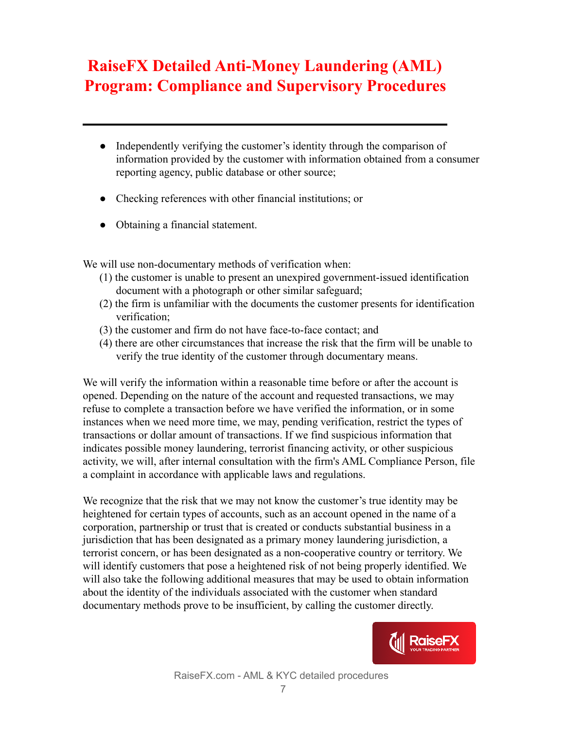- Independently verifying the customer's identity through the comparison of information provided by the customer with information obtained from a consumer reporting agency, public database or other source;
- Checking references with other financial institutions; or
- Obtaining a financial statement.

We will use non-documentary methods of verification when:

- (1) the customer is unable to present an unexpired government-issued identification document with a photograph or other similar safeguard;
- (2) the firm is unfamiliar with the documents the customer presents for identification verification;
- (3) the customer and firm do not have face-to-face contact; and
- (4) there are other circumstances that increase the risk that the firm will be unable to verify the true identity of the customer through documentary means.

We will verify the information within a reasonable time before or after the account is opened. Depending on the nature of the account and requested transactions, we may refuse to complete a transaction before we have verified the information, or in some instances when we need more time, we may, pending verification, restrict the types of transactions or dollar amount of transactions. If we find suspicious information that indicates possible money laundering, terrorist financing activity, or other suspicious activity, we will, after internal consultation with the firm's AML Compliance Person, file a complaint in accordance with applicable laws and regulations.

We recognize that the risk that we may not know the customer's true identity may be heightened for certain types of accounts, such as an account opened in the name of a corporation, partnership or trust that is created or conducts substantial business in a jurisdiction that has been designated as a primary money laundering jurisdiction, a terrorist concern, or has been designated as a non-cooperative country or territory. We will identify customers that pose a heightened risk of not being properly identified. We will also take the following additional measures that may be used to obtain information about the identity of the individuals associated with the customer when standard documentary methods prove to be insufficient, by calling the customer directly.

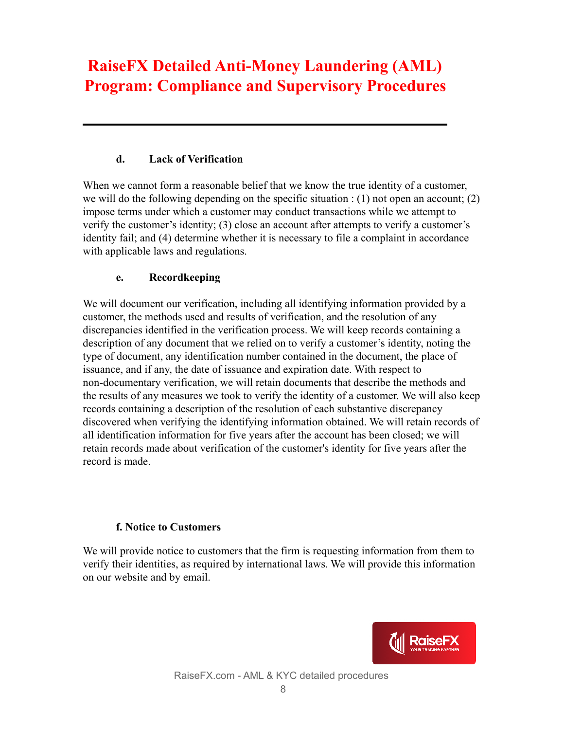#### **d. Lack of Verification**

When we cannot form a reasonable belief that we know the true identity of a customer, we will do the following depending on the specific situation : (1) not open an account; (2) impose terms under which a customer may conduct transactions while we attempt to verify the customer's identity; (3) close an account after attempts to verify a customer's identity fail; and (4) determine whether it is necessary to file a complaint in accordance with applicable laws and regulations.

#### **e. Recordkeeping**

We will document our verification, including all identifying information provided by a customer, the methods used and results of verification, and the resolution of any discrepancies identified in the verification process. We will keep records containing a description of any document that we relied on to verify a customer's identity, noting the type of document, any identification number contained in the document, the place of issuance, and if any, the date of issuance and expiration date. With respect to non-documentary verification, we will retain documents that describe the methods and the results of any measures we took to verify the identity of a customer. We will also keep records containing a description of the resolution of each substantive discrepancy discovered when verifying the identifying information obtained. We will retain records of all identification information for five years after the account has been closed; we will retain records made about verification of the customer's identity for five years after the record is made.

#### **f. Notice to Customers**

<span id="page-7-0"></span>We will provide notice to customers that the firm is requesting information from them to verify their identities, as required by international laws. We will provide this information on our website and by email.

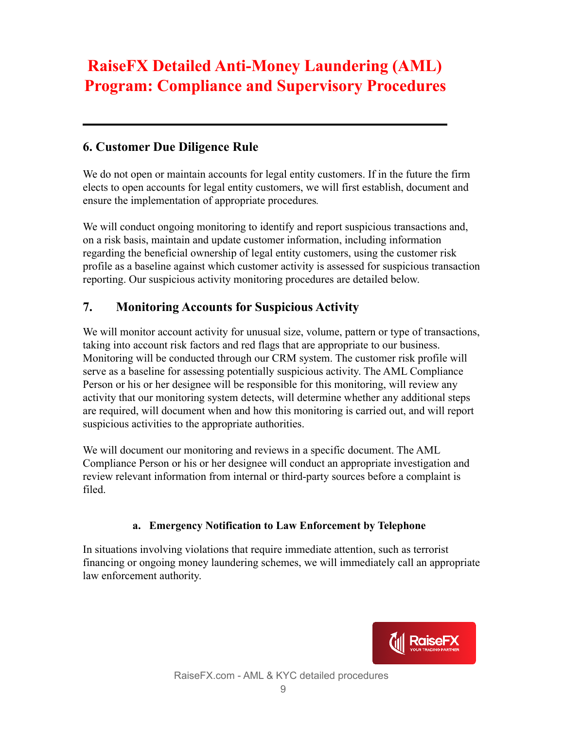### **6. Customer Due Diligence Rule**

We do not open or maintain accounts for legal entity customers. If in the future the firm elects to open accounts for legal entity customers, we will first establish, document and ensure the implementation of appropriate procedures*.*

We will conduct ongoing monitoring to identify and report suspicious transactions and, on a risk basis, maintain and update customer information, including information regarding the beneficial ownership of legal entity customers, using the customer risk profile as a baseline against which customer activity is assessed for suspicious transaction reporting. Our suspicious activity monitoring procedures are detailed below.

### <span id="page-8-0"></span>**7. Monitoring Accounts for Suspicious Activity**

We will monitor account activity for unusual size, volume, pattern or type of transactions, taking into account risk factors and red flags that are appropriate to our business. Monitoring will be conducted through our CRM system. The customer risk profile will serve as a baseline for assessing potentially suspicious activity. The AML Compliance Person or his or her designee will be responsible for this monitoring, will review any activity that our monitoring system detects, will determine whether any additional steps are required, will document when and how this monitoring is carried out, and will report suspicious activities to the appropriate authorities.

We will document our monitoring and reviews in a specific document. The AML Compliance Person or his or her designee will conduct an appropriate investigation and review relevant information from internal or third-party sources before a complaint is filed.

#### **a. Emergency Notification to Law Enforcement by Telephone**

<span id="page-8-1"></span>In situations involving violations that require immediate attention, such as terrorist financing or ongoing money laundering schemes, we will immediately call an appropriate law enforcement authority.

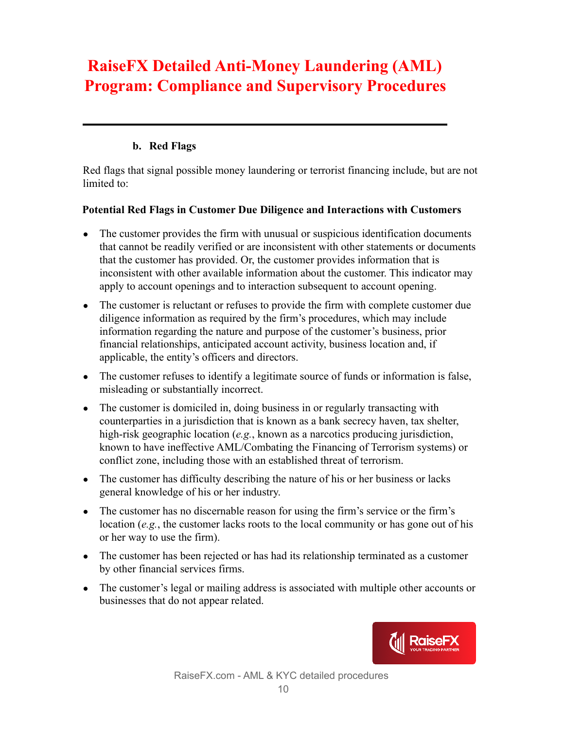#### **b. Red Flags**

<span id="page-9-0"></span>Red flags that signal possible money laundering or terrorist financing include, but are not limited to:

#### <span id="page-9-1"></span>**Potential Red Flags in Customer Due Diligence and Interactions with Customers**

- The customer provides the firm with unusual or suspicious identification documents that cannot be readily verified or are inconsistent with other statements or documents that the customer has provided. Or, the customer provides information that is inconsistent with other available information about the customer. This indicator may apply to account openings and to interaction subsequent to account opening.
- The customer is reluctant or refuses to provide the firm with complete customer due diligence information as required by the firm's procedures, which may include information regarding the nature and purpose of the customer's business, prior financial relationships, anticipated account activity, business location and, if applicable, the entity's officers and directors.
- The customer refuses to identify a legitimate source of funds or information is false, misleading or substantially incorrect.
- The customer is domiciled in, doing business in or regularly transacting with counterparties in a jurisdiction that is known as a bank secrecy haven, tax shelter, high-risk geographic location (*e.g.*, known as a narcotics producing jurisdiction, known to have ineffective AML/Combating the Financing of Terrorism systems) or conflict zone, including those with an established threat of terrorism.
- The customer has difficulty describing the nature of his or her business or lacks general knowledge of his or her industry.
- The customer has no discernable reason for using the firm's service or the firm's location (*e.g.*, the customer lacks roots to the local community or has gone out of his or her way to use the firm).
- The customer has been rejected or has had its relationship terminated as a customer by other financial services firms.
- The customer's legal or mailing address is associated with multiple other accounts or businesses that do not appear related.

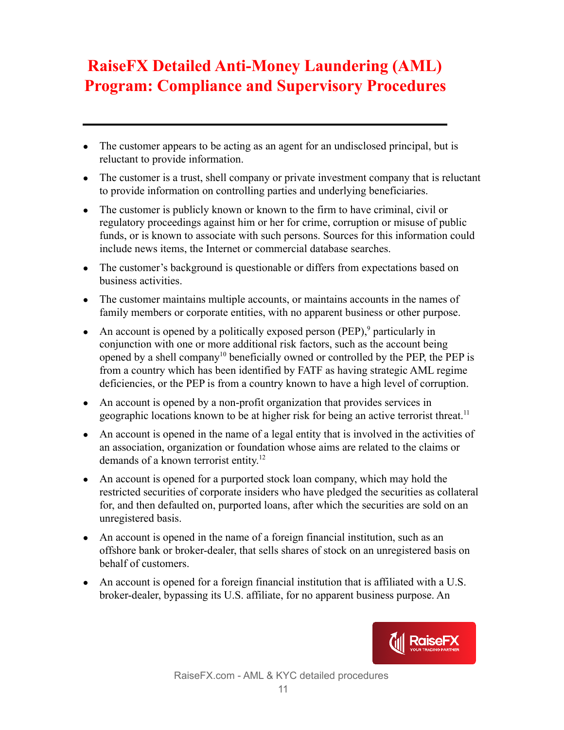- The customer appears to be acting as an agent for an undisclosed principal, but is reluctant to provide information.
- The customer is a trust, shell company or private investment company that is reluctant to provide information on controlling parties and underlying beneficiaries.
- The customer is publicly known or known to the firm to have criminal, civil or regulatory proceedings against him or her for crime, corruption or misuse of public funds, or is known to associate with such persons. Sources for this information could include news items, the Internet or commercial database searches.
- The customer's background is questionable or differs from expectations based on business activities.
- The customer maintains multiple accounts, or maintains accounts in the names of family members or corporate entities, with no apparent business or other purpose.
- An account is opened by a politically exposed person (PEP),<sup>9</sup> particularly in conjunction with one or more additional risk factors, such as the account being opened by a shell company<sup>10</sup> beneficially owned or controlled by the PEP, the PEP is from a country which has been identified by FATF as having strategic AML regime deficiencies, or the PEP is from a country known to have a high level of corruption.
- An account is opened by a non-profit organization that provides services in geographic locations known to be at higher risk for being an active terrorist threat.<sup>11</sup>
- An account is opened in the name of a legal entity that is involved in the activities of an association, organization or foundation whose aims are related to the claims or demands of a known terrorist entity.<sup>12</sup>
- An account is opened for a purported stock loan company, which may hold the restricted securities of corporate insiders who have pledged the securities as collateral for, and then defaulted on, purported loans, after which the securities are sold on an unregistered basis.
- An account is opened in the name of a foreign financial institution, such as an offshore bank or broker-dealer, that sells shares of stock on an unregistered basis on behalf of customers.
- An account is opened for a foreign financial institution that is affiliated with a U.S. broker-dealer, bypassing its U.S. affiliate, for no apparent business purpose. An

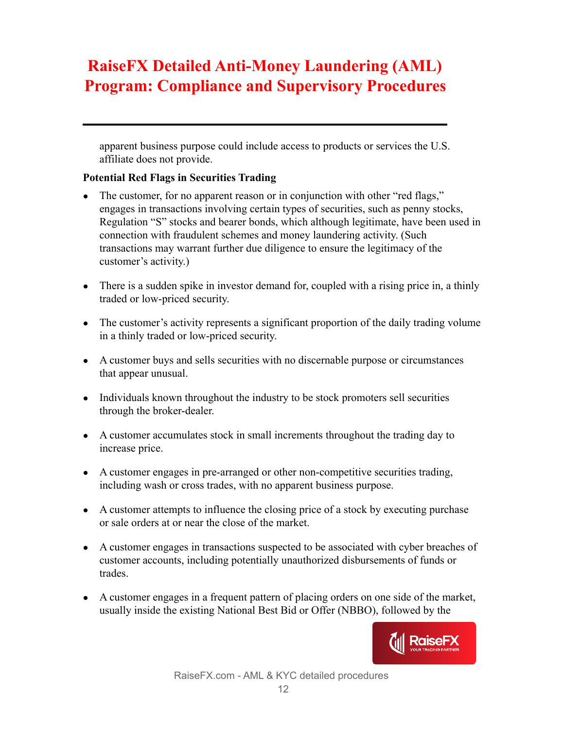apparent business purpose could include access to products or services the U.S. affiliate does not provide.

#### <span id="page-11-0"></span>**Potential Red Flags in Securities Trading**

- The customer, for no apparent reason or in conjunction with other "red flags," engages in transactions involving certain types of securities, such as penny stocks, Regulation "S" stocks and bearer bonds, which although legitimate, have been used in connection with fraudulent schemes and money laundering activity. (Such transactions may warrant further due diligence to ensure the legitimacy of the customer's activity.)
- There is a sudden spike in investor demand for, coupled with a rising price in, a thinly traded or low-priced security.
- The customer's activity represents a significant proportion of the daily trading volume in a thinly traded or low-priced security.
- A customer buys and sells securities with no discernable purpose or circumstances that appear unusual.
- Individuals known throughout the industry to be stock promoters sell securities through the broker-dealer.
- A customer accumulates stock in small increments throughout the trading day to increase price.
- A customer engages in pre-arranged or other non-competitive securities trading, including wash or cross trades, with no apparent business purpose.
- A customer attempts to influence the closing price of a stock by executing purchase or sale orders at or near the close of the market.
- A customer engages in transactions suspected to be associated with cyber breaches of customer accounts, including potentially unauthorized disbursements of funds or trades.
- A customer engages in a frequent pattern of placing orders on one side of the market, usually inside the existing National Best Bid or Offer (NBBO), followed by the

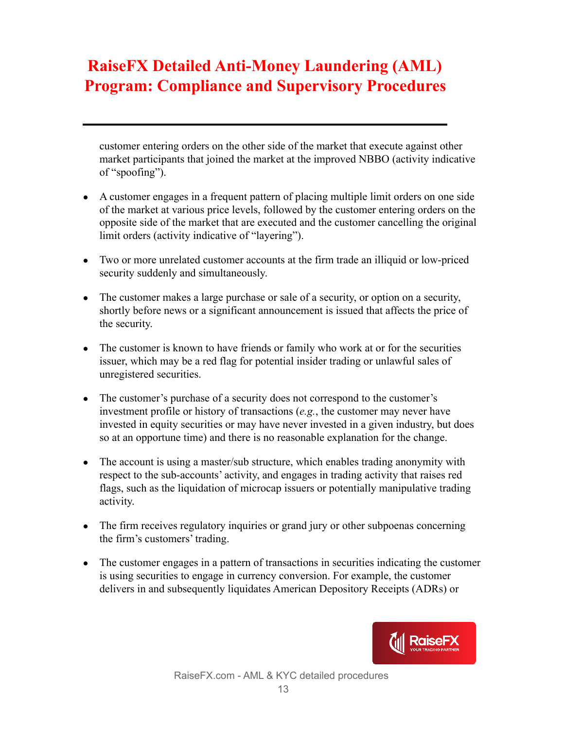customer entering orders on the other side of the market that execute against other market participants that joined the market at the improved NBBO (activity indicative of "spoofing").

- A customer engages in a frequent pattern of placing multiple limit orders on one side of the market at various price levels, followed by the customer entering orders on the opposite side of the market that are executed and the customer cancelling the original limit orders (activity indicative of "layering").
- Two or more unrelated customer accounts at the firm trade an illiquid or low-priced security suddenly and simultaneously.
- The customer makes a large purchase or sale of a security, or option on a security, shortly before news or a significant announcement is issued that affects the price of the security.
- The customer is known to have friends or family who work at or for the securities issuer, which may be a red flag for potential insider trading or unlawful sales of unregistered securities.
- The customer's purchase of a security does not correspond to the customer's investment profile or history of transactions (*e.g.*, the customer may never have invested in equity securities or may have never invested in a given industry, but does so at an opportune time) and there is no reasonable explanation for the change.
- The account is using a master/sub structure, which enables trading anonymity with respect to the sub-accounts' activity, and engages in trading activity that raises red flags, such as the liquidation of microcap issuers or potentially manipulative trading activity.
- The firm receives regulatory inquiries or grand jury or other subpoenas concerning the firm's customers' trading.
- The customer engages in a pattern of transactions in securities indicating the customer is using securities to engage in currency conversion. For example, the customer delivers in and subsequently liquidates American Depository Receipts (ADRs) or

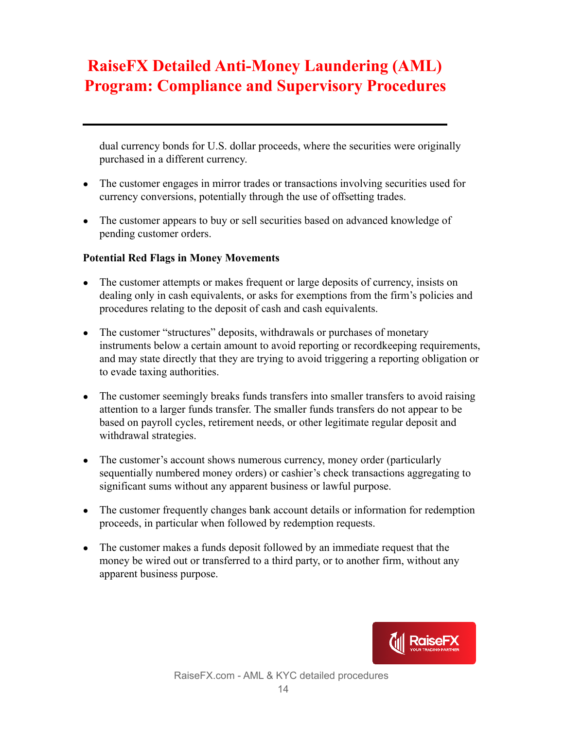dual currency bonds for U.S. dollar proceeds, where the securities were originally purchased in a different currency.

- The customer engages in mirror trades or transactions involving securities used for currency conversions, potentially through the use of offsetting trades.
- The customer appears to buy or sell securities based on advanced knowledge of pending customer orders.

#### <span id="page-13-0"></span>**Potential Red Flags in Money Movements**

- The customer attempts or makes frequent or large deposits of currency, insists on dealing only in cash equivalents, or asks for exemptions from the firm's policies and procedures relating to the deposit of cash and cash equivalents.
- The customer "structures" deposits, withdrawals or purchases of monetary instruments below a certain amount to avoid reporting or recordkeeping requirements, and may state directly that they are trying to avoid triggering a reporting obligation or to evade taxing authorities.
- The customer seemingly breaks funds transfers into smaller transfers to avoid raising attention to a larger funds transfer. The smaller funds transfers do not appear to be based on payroll cycles, retirement needs, or other legitimate regular deposit and withdrawal strategies.
- The customer's account shows numerous currency, money order (particularly sequentially numbered money orders) or cashier's check transactions aggregating to significant sums without any apparent business or lawful purpose.
- The customer frequently changes bank account details or information for redemption proceeds, in particular when followed by redemption requests.
- The customer makes a funds deposit followed by an immediate request that the money be wired out or transferred to a third party, or to another firm, without any apparent business purpose.

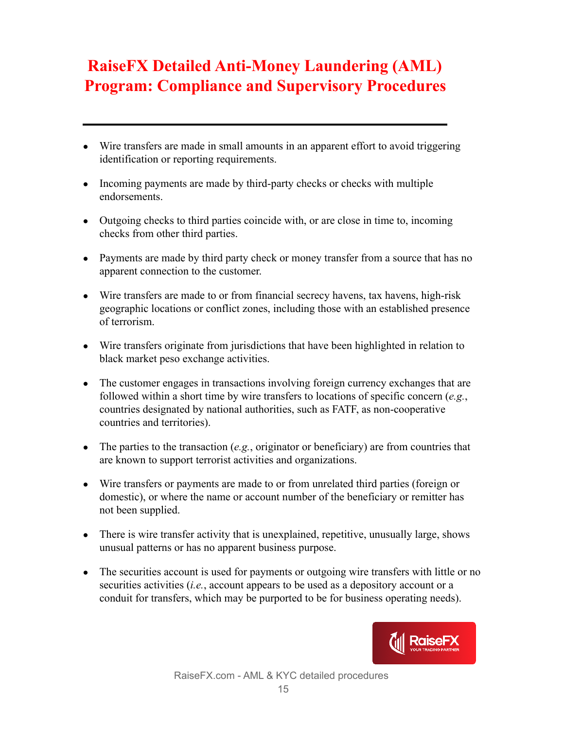- Wire transfers are made in small amounts in an apparent effort to avoid triggering identification or reporting requirements.
- Incoming payments are made by third-party checks or checks with multiple endorsements.
- Outgoing checks to third parties coincide with, or are close in time to, incoming checks from other third parties.
- Payments are made by third party check or money transfer from a source that has no apparent connection to the customer.
- Wire transfers are made to or from financial secrecy havens, tax havens, high-risk geographic locations or conflict zones, including those with an established presence of terrorism.
- Wire transfers originate from jurisdictions that have been highlighted in relation to black market peso exchange activities.
- The customer engages in transactions involving foreign currency exchanges that are followed within a short time by wire transfers to locations of specific concern (*e.g.*, countries designated by national authorities, such as FATF, as non-cooperative countries and territories).
- The parties to the transaction (*e.g.*, originator or beneficiary) are from countries that are known to support terrorist activities and organizations.
- Wire transfers or payments are made to or from unrelated third parties (foreign or domestic), or where the name or account number of the beneficiary or remitter has not been supplied.
- There is wire transfer activity that is unexplained, repetitive, unusually large, shows unusual patterns or has no apparent business purpose.
- The securities account is used for payments or outgoing wire transfers with little or no securities activities (*i.e.*, account appears to be used as a depository account or a conduit for transfers, which may be purported to be for business operating needs).

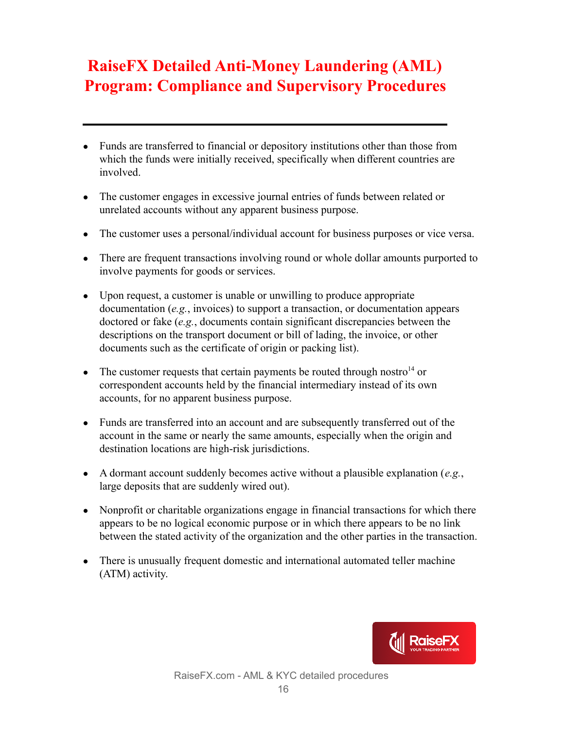- Funds are transferred to financial or depository institutions other than those from which the funds were initially received, specifically when different countries are involved.
- The customer engages in excessive journal entries of funds between related or unrelated accounts without any apparent business purpose.
- The customer uses a personal/individual account for business purposes or vice versa.
- There are frequent transactions involving round or whole dollar amounts purported to involve payments for goods or services.
- Upon request, a customer is unable or unwilling to produce appropriate documentation (*e.g.*, invoices) to support a transaction, or documentation appears doctored or fake (*e.g.*, documents contain significant discrepancies between the descriptions on the transport document or bill of lading, the invoice, or other documents such as the certificate of origin or packing list).
- The customer requests that certain payments be routed through nostro<sup>14</sup> or correspondent accounts held by the financial intermediary instead of its own accounts, for no apparent business purpose.
- Funds are transferred into an account and are subsequently transferred out of the account in the same or nearly the same amounts, especially when the origin and destination locations are high-risk jurisdictions.
- $\bullet$  A dormant account suddenly becomes active without a plausible explanation (*e.g.*, large deposits that are suddenly wired out).
- Nonprofit or charitable organizations engage in financial transactions for which there appears to be no logical economic purpose or in which there appears to be no link between the stated activity of the organization and the other parties in the transaction.
- There is unusually frequent domestic and international automated teller machine (ATM) activity.

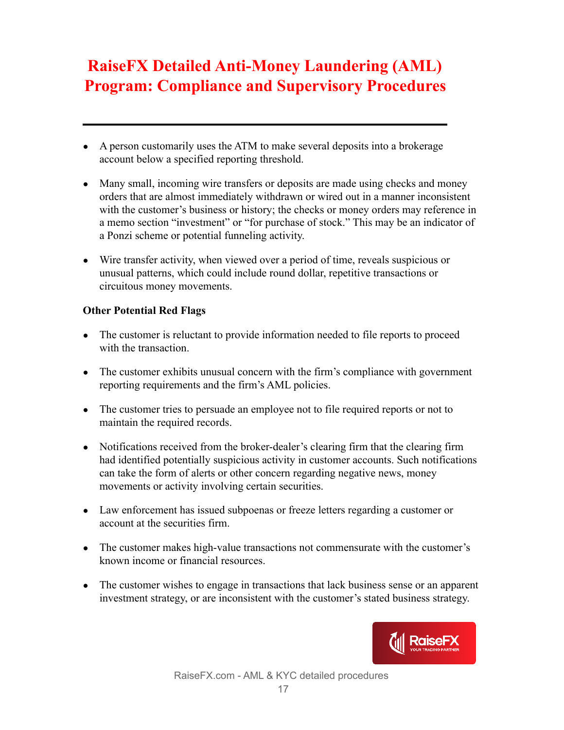- A person customarily uses the ATM to make several deposits into a brokerage account below a specified reporting threshold.
- Many small, incoming wire transfers or deposits are made using checks and money orders that are almost immediately withdrawn or wired out in a manner inconsistent with the customer's business or history; the checks or money orders may reference in a memo section "investment" or "for purchase of stock." This may be an indicator of a Ponzi scheme or potential funneling activity.
- Wire transfer activity, when viewed over a period of time, reveals suspicious or unusual patterns, which could include round dollar, repetitive transactions or circuitous money movements.

#### <span id="page-16-0"></span>**Other Potential Red Flags**

- The customer is reluctant to provide information needed to file reports to proceed with the transaction
- The customer exhibits unusual concern with the firm's compliance with government reporting requirements and the firm's AML policies.
- The customer tries to persuade an employee not to file required reports or not to maintain the required records.
- Notifications received from the broker-dealer's clearing firm that the clearing firm had identified potentially suspicious activity in customer accounts. Such notifications can take the form of alerts or other concern regarding negative news, money movements or activity involving certain securities.
- Law enforcement has issued subpoenas or freeze letters regarding a customer or account at the securities firm.
- The customer makes high-value transactions not commensurate with the customer's known income or financial resources.
- The customer wishes to engage in transactions that lack business sense or an apparent investment strategy, or are inconsistent with the customer's stated business strategy.

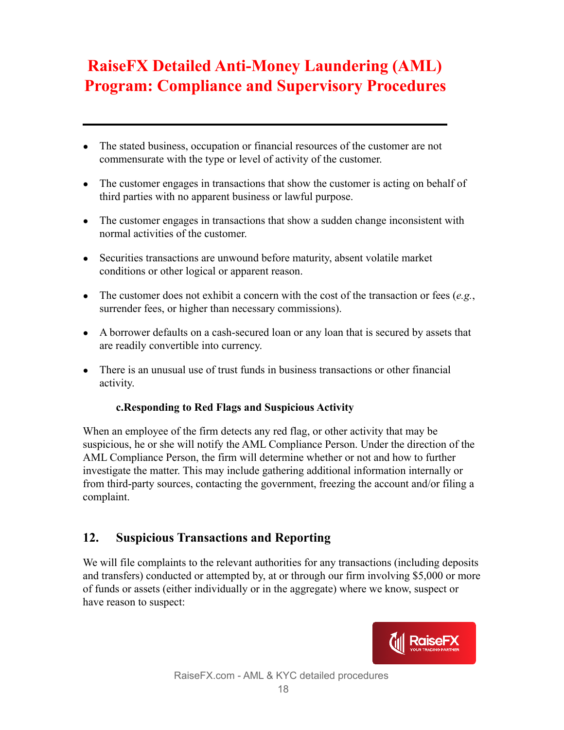- The stated business, occupation or financial resources of the customer are not commensurate with the type or level of activity of the customer.
- The customer engages in transactions that show the customer is acting on behalf of third parties with no apparent business or lawful purpose.
- The customer engages in transactions that show a sudden change inconsistent with normal activities of the customer.
- Securities transactions are unwound before maturity, absent volatile market conditions or other logical or apparent reason.
- The customer does not exhibit a concern with the cost of the transaction or fees  $(e.g.,)$ surrender fees, or higher than necessary commissions).
- A borrower defaults on a cash-secured loan or any loan that is secured by assets that are readily convertible into currency.
- There is an unusual use of trust funds in business transactions or other financial activity.

#### **c.Responding to Red Flags and Suspicious Activity**

<span id="page-17-0"></span>When an employee of the firm detects any red flag, or other activity that may be suspicious, he or she will notify the AML Compliance Person. Under the direction of the AML Compliance Person, the firm will determine whether or not and how to further investigate the matter. This may include gathering additional information internally or from third-party sources, contacting the government, freezing the account and/or filing a complaint.

### <span id="page-17-1"></span>**12. Suspicious Transactions and Reporting**

We will file complaints to the relevant authorities for any transactions (including deposits and transfers) conducted or attempted by, at or through our firm involving \$5,000 or more of funds or assets (either individually or in the aggregate) where we know, suspect or have reason to suspect:

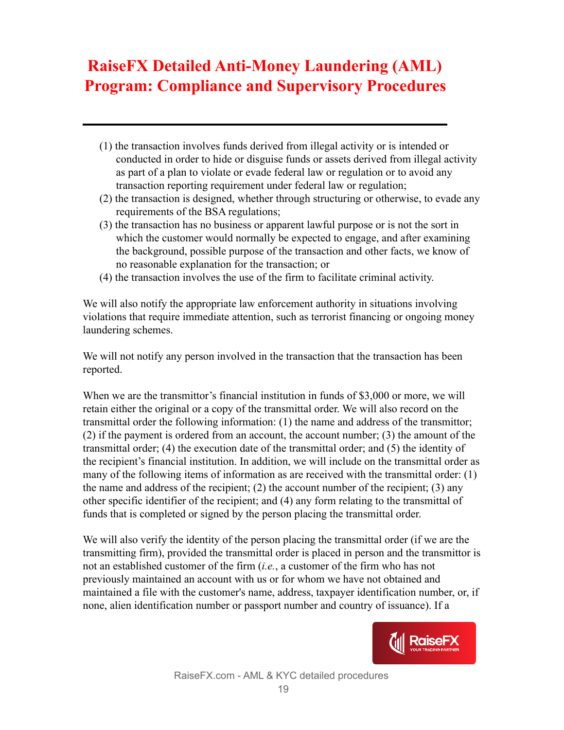- (1) the transaction involves funds derived from illegal activity or is intended or conducted in order to hide or disguise funds or assets derived from illegal activity as part of a plan to violate or evade federal law or regulation or to avoid any transaction reporting requirement under federal law or regulation;
- (2) the transaction is designed, whether through structuring or otherwise, to evade any requirements of the BSA regulations;
- (3) the transaction has no business or apparent lawful purpose or is not the sort in which the customer would normally be expected to engage, and after examining the background, possible purpose of the transaction and other facts, we know of no reasonable explanation for the transaction; or
- (4) the transaction involves the use of the firm to facilitate criminal activity.

We will also notify the appropriate law enforcement authority in situations involving violations that require immediate attention, such as terrorist financing or ongoing money laundering schemes.

We will not notify any person involved in the transaction that the transaction has been reported.

When we are the transmittor's financial institution in funds of \$3,000 or more, we will retain either the original or a copy of the transmittal order. We will also record on the transmittal order the following information: (1) the name and address of the transmittor; (2) if the payment is ordered from an account, the account number; (3) the amount of the transmittal order; (4) the execution date of the transmittal order; and (5) the identity of the recipient's financial institution. In addition, we will include on the transmittal order as many of the following items of information as are received with the transmittal order: (1) the name and address of the recipient; (2) the account number of the recipient; (3) any other specific identifier of the recipient; and (4) any form relating to the transmittal of funds that is completed or signed by the person placing the transmittal order.

We will also verify the identity of the person placing the transmittal order (if we are the transmitting firm), provided the transmittal order is placed in person and the transmittor is not an established customer of the firm (*i.e.*, a customer of the firm who has not previously maintained an account with us or for whom we have not obtained and maintained a file with the customer's name, address, taxpayer identification number, or, if none, alien identification number or passport number and country of issuance). If a

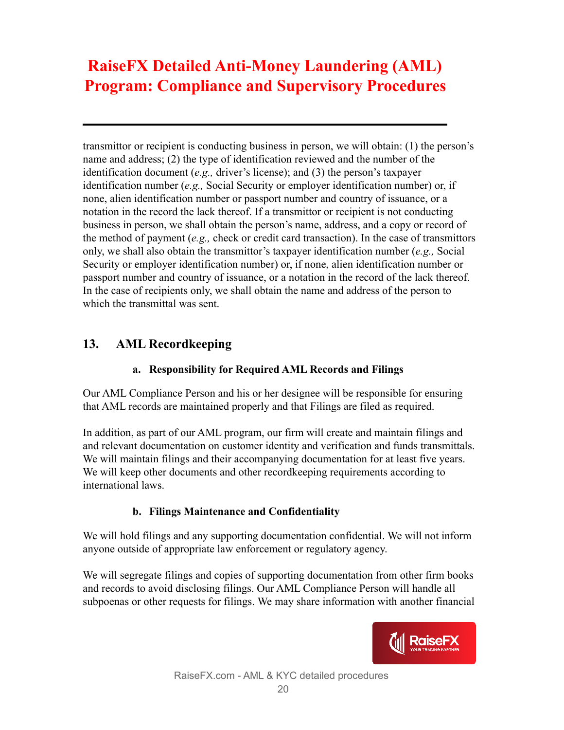transmittor or recipient is conducting business in person, we will obtain: (1) the person's name and address; (2) the type of identification reviewed and the number of the identification document (*e.g.,* driver's license); and (3) the person's taxpayer identification number (*e.g.,* Social Security or employer identification number) or, if none, alien identification number or passport number and country of issuance, or a notation in the record the lack thereof. If a transmittor or recipient is not conducting business in person, we shall obtain the person's name, address, and a copy or record of the method of payment (*e.g.,* check or credit card transaction). In the case of transmittors only, we shall also obtain the transmittor's taxpayer identification number (*e.g.,* Social Security or employer identification number) or, if none, alien identification number or passport number and country of issuance, or a notation in the record of the lack thereof. In the case of recipients only, we shall obtain the name and address of the person to which the transmittal was sent.

### <span id="page-19-0"></span>**13. AML Recordkeeping**

#### **a. Responsibility for Required AML Records and Filings**

<span id="page-19-1"></span>Our AML Compliance Person and his or her designee will be responsible for ensuring that AML records are maintained properly and that Filings are filed as required.

In addition, as part of our AML program, our firm will create and maintain filings and and relevant documentation on customer identity and verification and funds transmittals. We will maintain filings and their accompanying documentation for at least five years. We will keep other documents and other recordkeeping requirements according to international laws.

#### **b. Filings Maintenance and Confidentiality**

<span id="page-19-2"></span>We will hold filings and any supporting documentation confidential. We will not inform anyone outside of appropriate law enforcement or regulatory agency.

We will segregate filings and copies of supporting documentation from other firm books and records to avoid disclosing filings. Our AML Compliance Person will handle all subpoenas or other requests for filings. We may share information with another financial

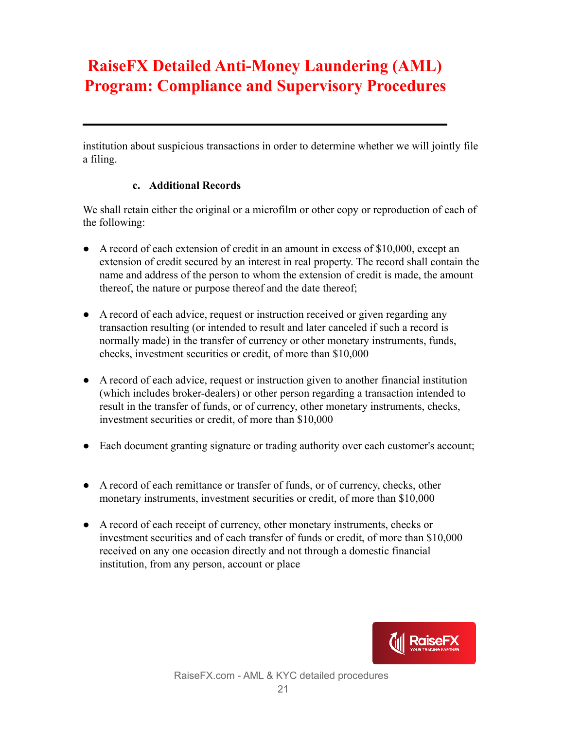institution about suspicious transactions in order to determine whether we will jointly file a filing.

#### **c. Additional Records**

<span id="page-20-0"></span>We shall retain either the original or a microfilm or other copy or reproduction of each of the following:

- A record of each extension of credit in an amount in excess of \$10,000, except an extension of credit secured by an interest in real property. The record shall contain the name and address of the person to whom the extension of credit is made, the amount thereof, the nature or purpose thereof and the date thereof;
- A record of each advice, request or instruction received or given regarding any transaction resulting (or intended to result and later canceled if such a record is normally made) in the transfer of currency or other monetary instruments, funds, checks, investment securities or credit, of more than \$10,000
- A record of each advice, request or instruction given to another financial institution (which includes broker-dealers) or other person regarding a transaction intended to result in the transfer of funds, or of currency, other monetary instruments, checks, investment securities or credit, of more than \$10,000
- Each document granting signature or trading authority over each customer's account;
- A record of each remittance or transfer of funds, or of currency, checks, other monetary instruments, investment securities or credit, of more than \$10,000
- A record of each receipt of currency, other monetary instruments, checks or investment securities and of each transfer of funds or credit, of more than \$10,000 received on any one occasion directly and not through a domestic financial institution, from any person, account or place

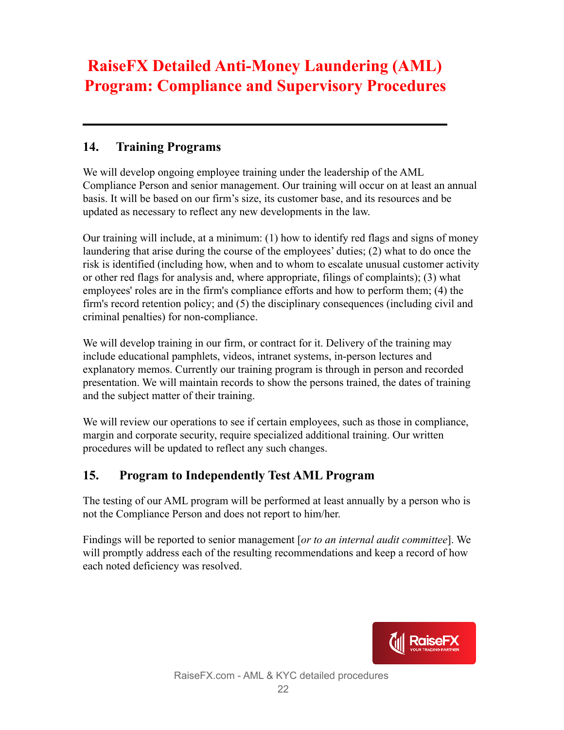### <span id="page-21-0"></span>**14. Training Programs**

We will develop ongoing employee training under the leadership of the AML Compliance Person and senior management. Our training will occur on at least an annual basis. It will be based on our firm's size, its customer base, and its resources and be updated as necessary to reflect any new developments in the law.

Our training will include, at a minimum: (1) how to identify red flags and signs of money laundering that arise during the course of the employees' duties; (2) what to do once the risk is identified (including how, when and to whom to escalate unusual customer activity or other red flags for analysis and, where appropriate, filings of complaints); (3) what employees' roles are in the firm's compliance efforts and how to perform them; (4) the firm's record retention policy; and (5) the disciplinary consequences (including civil and criminal penalties) for non-compliance.

We will develop training in our firm, or contract for it. Delivery of the training may include educational pamphlets, videos, intranet systems, in-person lectures and explanatory memos. Currently our training program is through in person and recorded presentation. We will maintain records to show the persons trained, the dates of training and the subject matter of their training.

We will review our operations to see if certain employees, such as those in compliance, margin and corporate security, require specialized additional training. Our written procedures will be updated to reflect any such changes.

### <span id="page-21-1"></span>**15. Program to Independently Test AML Program**

The testing of our AML program will be performed at least annually by a person who is not the Compliance Person and does not report to him/her.

Findings will be reported to senior management [*or to an internal audit committee*]. We will promptly address each of the resulting recommendations and keep a record of how each noted deficiency was resolved.